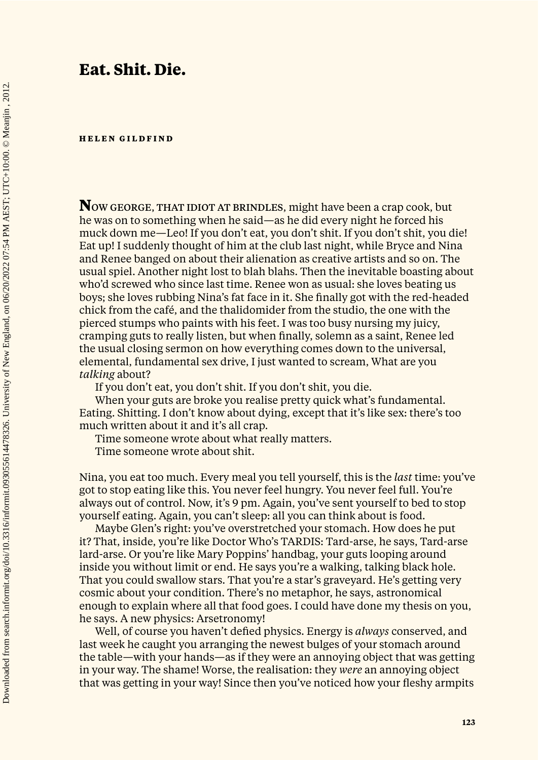## **Eat. Shit. Die.**

## **HELEN GILDFIND**

**N**OW GEORGE, THAT IDIOT AT BRINDLES, might have been a crap cook, but he was on to something when he said—as he did every night he forced his muck down me—Leo! If you don't eat, you don't shit. If you don't shit, you die! Eat up! I suddenly thought of him at the club last night, while Bryce and Nina and Renee banged on about their alienation as creative artists and so on. The usual spiel. Another night lost to blah blahs. Then the inevitable boasting about who'd screwed who since last time. Renee won as usual: she loves beating us boys; she loves rubbing Nina's fat face in it. She finally got with the red-headed chick from the café, and the thalidomider from the studio, the one with the pierced stumps who paints with his feet. I was too busy nursing my juicy, cramping guts to really listen, but when finally, solemn as a saint, Renee led the usual closing sermon on how everything comes down to the universal, elemental, fundamental sex drive, I just wanted to scream, What are you *talking* about?

If you don't eat, you don't shit. If you don't shit, you die.

When your guts are broke you realise pretty quick what's fundamental. Eating. Shitting. I don't know about dying, except that it's like sex: there's too much written about it and it's all crap.

Time someone wrote about what really matters. Time someone wrote about shit.

Nina, you eat too much. Every meal you tell yourself, this is the *last* time: you've got to stop eating like this. You never feel hungry. You never feel full. You're always out of control. Now, it's 9 pm. Again, you've sent yourself to bed to stop yourself eating. Again, you can't sleep: all you can think about is food.

Maybe Glen's right: you've overstretched your stomach. How does he put it? That, inside, you're like Doctor Who's TARDIS: Tard-arse, he says, Tard-arse lard-arse. Or you're like Mary Poppins' handbag, your guts looping around inside you without limit or end. He says you're a walking, talking black hole. That you could swallow stars. That you're a star's graveyard. He's getting very cosmic about your condition. There's no metaphor, he says, astronomical enough to explain where all that food goes. I could have done my thesis on you, he says. A new physics: Arsetronomy!

Well, of course you haven't defied physics. Energy is *always* conserved, and last week he caught you arranging the newest bulges of your stomach around the table—with your hands—as if they were an annoying object that was getting in your way. The shame! Worse, the realisation: they *were* an annoying object that was getting in your way! Since then you've noticed how your fleshy armpits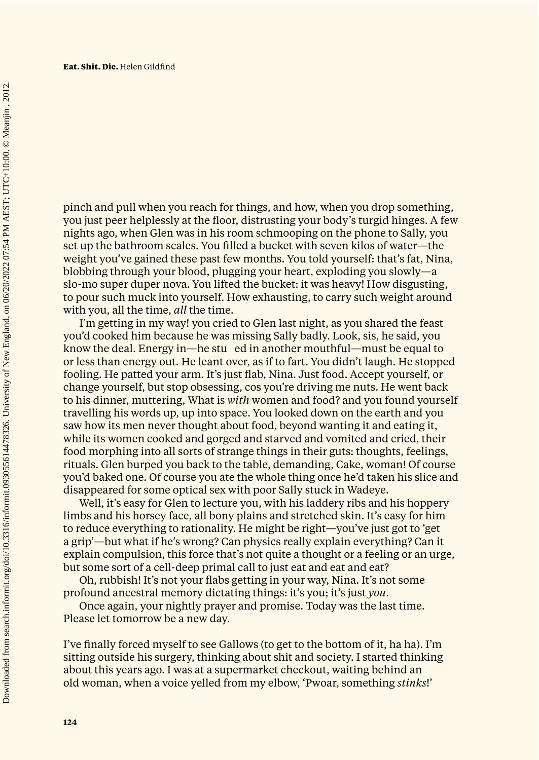pinch and pull when you reach for things, and how, when you drop something, you just peer helplessly at the floor, distrusting your body's turgid hinges. A few nights ago, when Glen was in his room schmooping on the phone to Sally, you set up the bathroom scales. You filled a bucket with seven kilos of water—the weight you've gained these past few months. You told yourself: that's fat, Nina, blobbing through your blood, plugging your heart, exploding you slowly—a slo-mo super duper nova. You lifted the bucket: it was heavy! How disgusting, to pour such muck into yourself. How exhausting, to carry such weight around with you, all the time, *all* the time.

I'm getting in my way! you cried to Glen last night, as you shared the feast you'd cooked him because he was missing Sally badly. Look, sis, he said, you know the deal. Energy in—he stu ed in another mouthful—must be equal to or less than energy out. He leant over, as if to fart. You didn't laugh. He stopped fooling. He patted your arm. It's just flab, Nina. Just food. Accept yourself, or change yourself, but stop obsessing, cos you're driving me nuts. He went back to his dinner, muttering, What is *with* women and food? and you found yourself travelling his words up, up into space. You looked down on the earth and you saw how its men never thought about food, beyond wanting it and eating it, while its women cooked and gorged and starved and vomited and cried, their food morphing into all sorts of strange things in their guts: thoughts, feelings, rituals. Glen burped you back to the table, demanding, Cake, woman! Of course you'd baked one. Of course you ate the whole thing once he'd taken his slice and disappeared for some optical sex with poor Sally stuck in Wadeye.

Well, it's easy for Glen to lecture you, with his laddery ribs and his hoppery limbs and his horsey face, all bony plains and stretched skin. It's easy for him to reduce everything to rationality. He might be right—you've just got to 'get a grip'—but what if he's wrong? Can physics really explain everything? Can it explain compulsion, this force that's not quite a thought or a feeling or an urge, but some sort of a cell-deep primal call to just eat and eat and eat?

Oh, rubbish! It's not your flabs getting in your way, Nina. It's not some profound ancestral memory dictating things: it's you; it's just *you*.

Once again, your nightly prayer and promise. Today was the last time. Please let tomorrow be a new day.

I've finally forced myself to see Gallows (to get to the bottom of it, ha ha). I'm sitting outside his surgery, thinking about shit and society. I started thinking about this years ago. I was at a supermarket checkout, waiting behind an old woman, when a voice yelled from my elbow, 'Pwoar, something *stinks*!'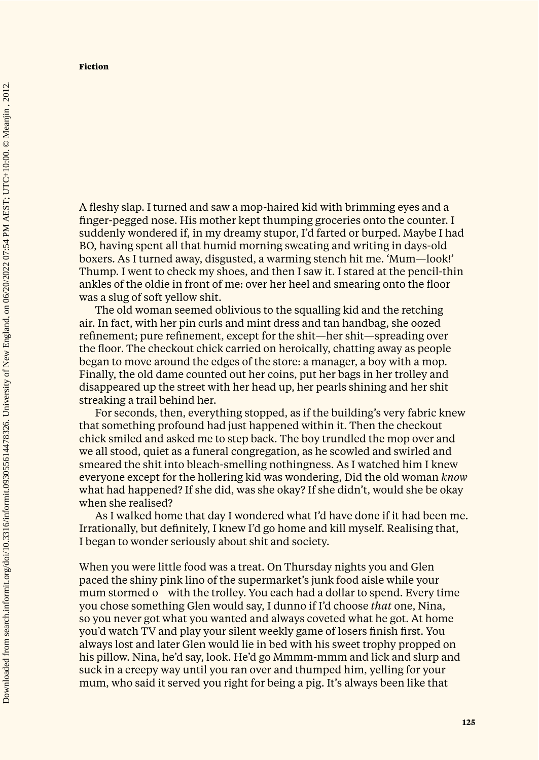A fleshy slap. I turned and saw a mop-haired kid with brimming eyes and a finger-pegged nose. His mother kept thumping groceries onto the counter. I suddenly wondered if, in my dreamy stupor, I'd farted or burped. Maybe I had BO, having spent all that humid morning sweating and writing in days-old boxers. As I turned away, disgusted, a warming stench hit me. 'Mum—look!' Thump. I went to check my shoes, and then I saw it. I stared at the pencil-thin ankles of the oldie in front of me: over her heel and smearing onto the floor was a slug of soft yellow shit.

The old woman seemed oblivious to the squalling kid and the retching air. In fact, with her pin curls and mint dress and tan handbag, she oozed refinement; pure refinement, except for the shit—her shit—spreading over the floor. The checkout chick carried on heroically, chatting away as people began to move around the edges of the store: a manager, a boy with a mop. Finally, the old dame counted out her coins, put her bags in her trolley and disappeared up the street with her head up, her pearls shining and her shit streaking a trail behind her.

For seconds, then, everything stopped, as if the building's very fabric knew that something profound had just happened within it. Then the checkout chick smiled and asked me to step back. The boy trundled the mop over and we all stood, quiet as a funeral congregation, as he scowled and swirled and smeared the shit into bleach-smelling nothingness. As I watched him I knew everyone except for the hollering kid was wondering, Did the old woman *know* what had happened? If she did, was she okay? If she didn't, would she be okay when she realised?

As I walked home that day I wondered what I'd have done if it had been me. Irrationally, but definitely, I knew I'd go home and kill myself. Realising that, I began to wonder seriously about shit and society.

When you were little food was a treat. On Thursday nights you and Glen paced the shiny pink lino of the supermarket's junk food aisle while your mum stormed o with the trolley. You each had a dollar to spend. Every time you chose something Glen would say, I dunno if I'd choose *that* one, Nina, so you never got what you wanted and always coveted what he got. At home you'd watch TV and play your silent weekly game of losers finish first. You always lost and later Glen would lie in bed with his sweet trophy propped on his pillow. Nina, he'd say, look. He'd go Mmmm-mmm and lick and slurp and suck in a creepy way until you ran over and thumped him, yelling for your mum, who said it served you right for being a pig. It's always been like that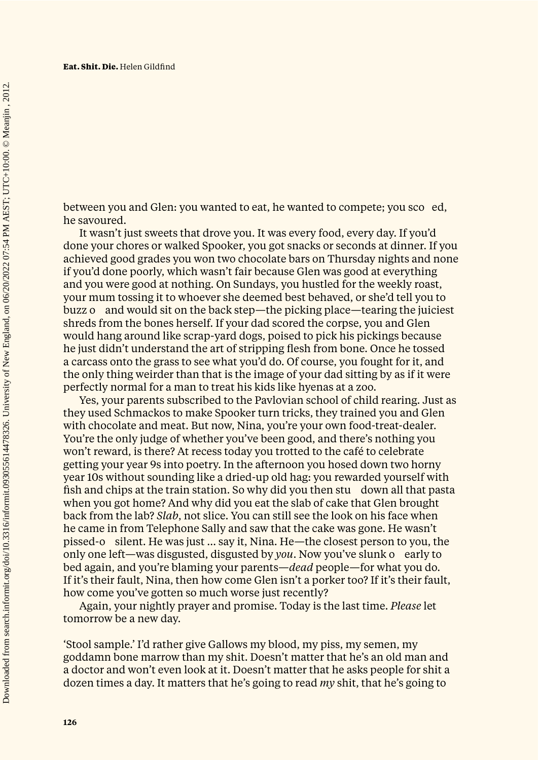between you and Glen: you wanted to eat, he wanted to compete; you sco ed. he savoured.

It wasn't just sweets that drove you. It was every food, every day. If you'd done your chores or walked Spooker, you got snacks or seconds at dinner. If you achieved good grades you won two chocolate bars on Thursday nights and none if you'd done poorly, which wasn't fair because Glen was good at everything and you were good at nothing. On Sundays, you hustled for the weekly roast, your mum tossing it to whoever she deemed best behaved, or she'd tell you to buzz o and would sit on the back step—the picking place—tearing the juiciest shreds from the bones herself. If your dad scored the corpse, you and Glen would hang around like scrap-yard dogs, poised to pick his pickings because he just didn't understand the art of stripping flesh from bone. Once he tossed a carcass onto the grass to see what you'd do. Of course, you fought for it, and the only thing weirder than that is the image of your dad sitting by as if it were perfectly normal for a man to treat his kids like hyenas at a zoo.

Yes, your parents subscribed to the Pavlovian school of child rearing. Just as they used Schmackos to make Spooker turn tricks, they trained you and Glen with chocolate and meat. But now, Nina, you're your own food-treat-dealer. You're the only judge of whether you've been good, and there's nothing you won't reward, is there? At recess today you trotted to the café to celebrate getting your year 9s into poetry. In the afternoon you hosed down two horny year 10s without sounding like a dried-up old hag: you rewarded yourself with fish and chips at the train station. So why did you then stu down all that pasta when you got home? And why did you eat the slab of cake that Glen brought back from the lab? *Slab*, not slice. You can still see the look on his face when he came in from Telephone Sally and saw that the cake was gone. He wasn't pissed-o silent. He was just … say it, Nina. He—the closest person to you, the only one left—was disgusted, disgusted by *you*. Now you've slunk o early to bed again, and you're blaming your parents—*dead* people—for what you do. If it's their fault, Nina, then how come Glen isn't a porker too? If it's their fault, how come you've gotten so much worse just recently?

Again, your nightly prayer and promise. Today is the last time. *Please* let tomorrow be a new day.

'Stool sample.' I'd rather give Gallows my blood, my piss, my semen, my goddamn bone marrow than my shit. Doesn't matter that he's an old man and a doctor and won't even look at it. Doesn't matter that he asks people for shit a dozen times a day. It matters that he's going to read *my* shit, that he's going to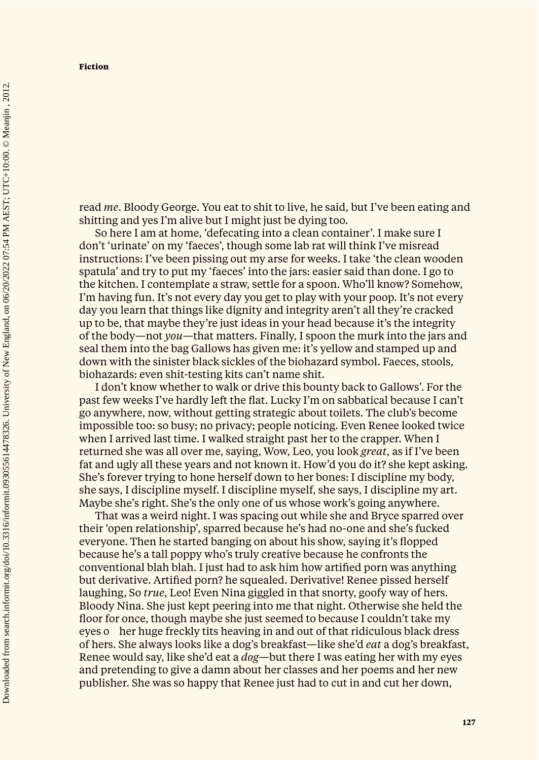**Fiction**

read *me*. Bloody George. You eat to shit to live, he said, but I've been eating and shitting and yes I'm alive but I might just be dying too.

So here I am at home, 'defecating into a clean container'. I make sure I don't 'urinate' on my 'faeces', though some lab rat will think I've misread instructions: I've been pissing out my arse for weeks. I take 'the clean wooden spatula' and try to put my 'faeces' into the jars: easier said than done. I go to the kitchen. I contemplate a straw, settle for a spoon. Who'll know? Somehow, I'm having fun. It's not every day you get to play with your poop. It's not every day you learn that things like dignity and integrity aren't all they're cracked up to be, that maybe they're just ideas in your head because it's the integrity of the body—not *you*—that matters. Finally, I spoon the murk into the jars and seal them into the bag Gallows has given me: it's yellow and stamped up and down with the sinister black sickles of the biohazard symbol. Faeces, stools, biohazards: even shit-testing kits can't name shit.

I don't know whether to walk or drive this bounty back to Gallows'. For the past few weeks I've hardly left the flat. Lucky I'm on sabbatical because I can't go anywhere, now, without getting strategic about toilets. The club's become impossible too: so busy; no privacy; people noticing. Even Renee looked twice when I arrived last time. I walked straight past her to the crapper. When I returned she was all over me, saying, Wow, Leo, you look *great*, as if I've been fat and ugly all these years and not known it. How'd you do it? she kept asking. She's forever trying to hone herself down to her bones: I discipline my body, she says, I discipline myself. I discipline myself, she says, I discipline my art. Maybe she's right. She's the only one of us whose work's going anywhere.

That was a weird night. I was spacing out while she and Bryce sparred over their 'open relationship', sparred because he's had no-one and she's fucked everyone. Then he started banging on about his show, saying it's flopped because he's a tall poppy who's truly creative because he confronts the conventional blah blah. I just had to ask him how artified porn was anything but derivative. Artified porn? he squealed. Derivative! Renee pissed herself laughing, So *true*, Leo! Even Nina giggled in that snorty, goofy way of hers. Bloody Nina. She just kept peering into me that night. Otherwise she held the floor for once, though maybe she just seemed to because I couldn't take my eyes o her huge freckly tits heaving in and out of that ridiculous black dress of hers. She always looks like a dog's breakfast—like she'd *eat* a dog's breakfast, Renee would say, like she'd eat a *dog*—but there I was eating her with my eyes and pretending to give a damn about her classes and her poems and her new publisher. She was so happy that Renee just had to cut in and cut her down,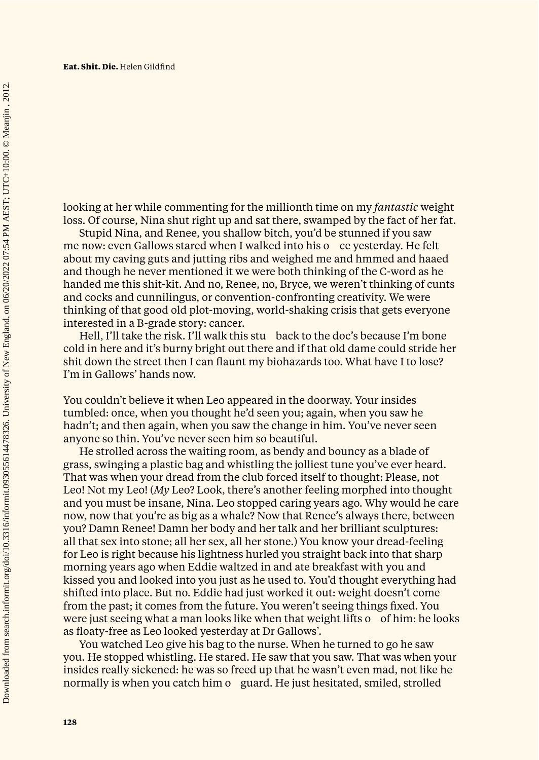looking at her while commenting for the millionth time on my *fantastic* weight loss. Of course, Nina shut right up and sat there, swamped by the fact of her fat.

Stupid Nina, and Renee, you shallow bitch, you'd be stunned if you saw me now: even Gallows stared when I walked into his o ce yesterday. He felt about my caving guts and jutting ribs and weighed me and hmmed and haaed and though he never mentioned it we were both thinking of the C-word as he handed me this shit-kit. And no, Renee, no, Bryce, we weren't thinking of cunts and cocks and cunnilingus, or convention-confronting creativity. We were thinking of that good old plot-moving, world-shaking crisis that gets everyone interested in a B-grade story: cancer.

Hell, I'll take the risk. I'll walk this stu back to the doc's because I'm bone cold in here and it's burny bright out there and if that old dame could stride her shit down the street then I can flaunt my biohazards too. What have I to lose? I'm in Gallows' hands now.

You couldn't believe it when Leo appeared in the doorway. Your insides tumbled: once, when you thought he'd seen you; again, when you saw he hadn't; and then again, when you saw the change in him. You've never seen anyone so thin. You've never seen him so beautiful.

He strolled across the waiting room, as bendy and bouncy as a blade of grass, swinging a plastic bag and whistling the jolliest tune you've ever heard. That was when your dread from the club forced itself to thought: Please, not Leo! Not my Leo! (*My* Leo? Look, there's another feeling morphed into thought and you must be insane, Nina. Leo stopped caring years ago. Why would he care now, now that you're as big as a whale? Now that Renee's always there, between you? Damn Renee! Damn her body and her talk and her brilliant sculptures: all that sex into stone; all her sex, all her stone.) You know your dread-feeling for Leo is right because his lightness hurled you straight back into that sharp morning years ago when Eddie waltzed in and ate breakfast with you and kissed you and looked into you just as he used to. You'd thought everything had shifted into place. But no. Eddie had just worked it out: weight doesn't come from the past; it comes from the future. You weren't seeing things fixed. You were just seeing what a man looks like when that weight lifts o of him: he looks as floaty-free as Leo looked yesterday at Dr Gallows'.

You watched Leo give his bag to the nurse. When he turned to go he saw you. He stopped whistling. He stared. He saw that you saw. That was when your insides really sickened: he was so freed up that he wasn't even mad, not like he normally is when you catch him o guard. He just hesitated, smiled, strolled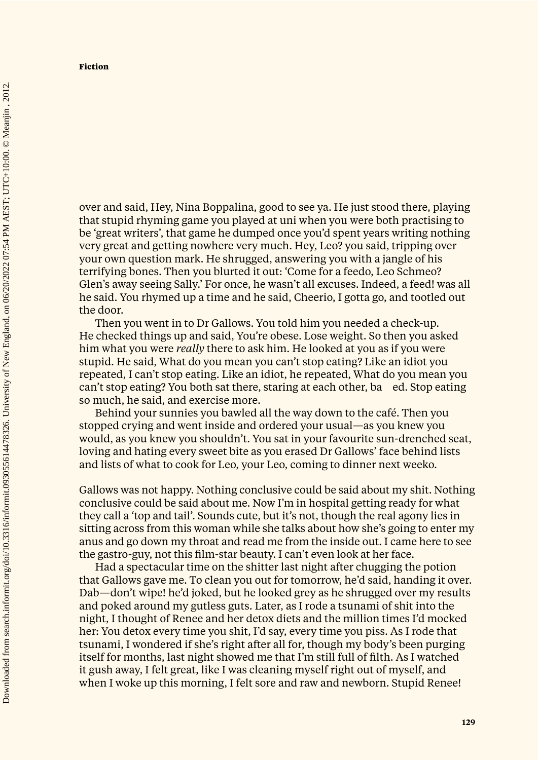**Fiction**

over and said, Hey, Nina Boppalina, good to see ya. He just stood there, playing that stupid rhyming game you played at uni when you were both practising to be 'great writers', that game he dumped once you'd spent years writing nothing very great and getting nowhere very much. Hey, Leo? you said, tripping over your own question mark. He shrugged, answering you with a jangle of his terrifying bones. Then you blurted it out: 'Come for a feedo, Leo Schmeo? Glen's away seeing Sally.' For once, he wasn't all excuses. Indeed, a feed! was all he said. You rhymed up a time and he said, Cheerio, I gotta go, and tootled out the door.

Then you went in to Dr Gallows. You told him you needed a check-up. He checked things up and said, You're obese. Lose weight. So then you asked him what you were *really* there to ask him. He looked at you as if you were stupid. He said, What do you mean you can't stop eating? Like an idiot you repeated, I can't stop eating. Like an idiot, he repeated, What do you mean you can't stop eating? You both sat there, staring at each other, ba ed. Stop eating so much, he said, and exercise more.

Behind your sunnies you bawled all the way down to the café. Then you stopped crying and went inside and ordered your usual—as you knew you would, as you knew you shouldn't. You sat in your favourite sun-drenched seat, loving and hating every sweet bite as you erased Dr Gallows' face behind lists and lists of what to cook for Leo, your Leo, coming to dinner next weeko.

Gallows was not happy. Nothing conclusive could be said about my shit. Nothing conclusive could be said about me. Now I'm in hospital getting ready for what they call a 'top and tail'. Sounds cute, but it's not, though the real agony lies in sitting across from this woman while she talks about how she's going to enter my anus and go down my throat and read me from the inside out. I came here to see the gastro-guy, not this film-star beauty. I can't even look at her face.

Had a spectacular time on the shitter last night after chugging the potion that Gallows gave me. To clean you out for tomorrow, he'd said, handing it over. Dab—don't wipe! he'd joked, but he looked grey as he shrugged over my results and poked around my gutless guts. Later, as I rode a tsunami of shit into the night, I thought of Renee and her detox diets and the million times I'd mocked her: You detox every time you shit, I'd say, every time you piss. As I rode that tsunami, I wondered if she's right after all for, though my body's been purging itself for months, last night showed me that I'm still full of filth. As I watched it gush away, I felt great, like I was cleaning myself right out of myself, and when I woke up this morning, I felt sore and raw and newborn. Stupid Renee!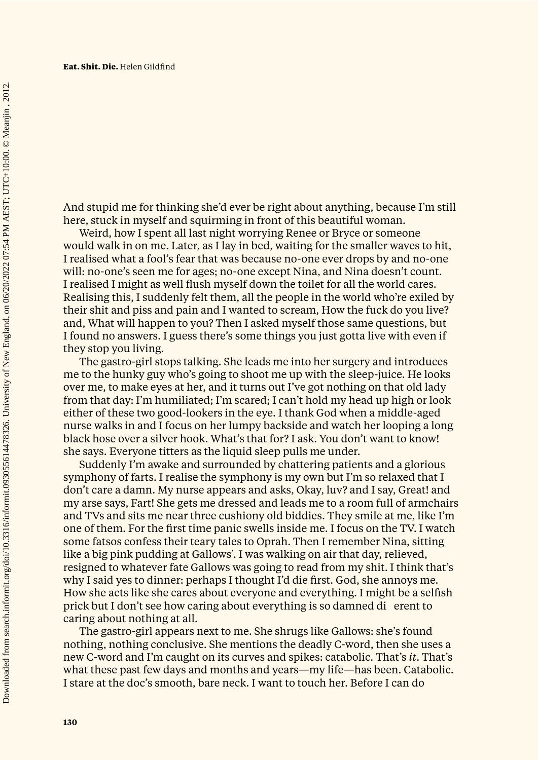And stupid me for thinking she'd ever be right about anything, because I'm still here, stuck in myself and squirming in front of this beautiful woman.

Weird, how I spent all last night worrying Renee or Bryce or someone would walk in on me. Later, as I lay in bed, waiting for the smaller waves to hit, I realised what a fool's fear that was because no-one ever drops by and no-one will: no-one's seen me for ages; no-one except Nina, and Nina doesn't count. I realised I might as well flush myself down the toilet for all the world cares. Realising this, I suddenly felt them, all the people in the world who're exiled by their shit and piss and pain and I wanted to scream, How the fuck do you live? and, What will happen to you? Then I asked myself those same questions, but I found no answers. I guess there's some things you just gotta live with even if they stop you living.

The gastro-girl stops talking. She leads me into her surgery and introduces me to the hunky guy who's going to shoot me up with the sleep-juice. He looks over me, to make eyes at her, and it turns out I've got nothing on that old lady from that day: I'm humiliated; I'm scared; I can't hold my head up high or look either of these two good-lookers in the eye. I thank God when a middle-aged nurse walks in and I focus on her lumpy backside and watch her looping a long black hose over a silver hook. What's that for? I ask. You don't want to know! she says. Everyone titters as the liquid sleep pulls me under.

Suddenly I'm awake and surrounded by chattering patients and a glorious symphony of farts. I realise the symphony is my own but I'm so relaxed that I don't care a damn. My nurse appears and asks, Okay, luv? and I say, Great! and my arse says, Fart! She gets me dressed and leads me to a room full of armchairs and TVs and sits me near three cushiony old biddies. They smile at me, like I'm one of them. For the first time panic swells inside me. I focus on the TV. I watch some fatsos confess their teary tales to Oprah. Then I remember Nina, sitting like a big pink pudding at Gallows'. I was walking on air that day, relieved, resigned to whatever fate Gallows was going to read from my shit. I think that's why I said yes to dinner: perhaps I thought I'd die first. God, she annoys me. How she acts like she cares about everyone and everything. I might be a selfish prick but I don't see how caring about everything is so damned di erent to caring about nothing at all.

The gastro-girl appears next to me. She shrugs like Gallows: she's found nothing, nothing conclusive. She mentions the deadly C-word, then she uses a new C-word and I'm caught on its curves and spikes: catabolic. That's *it*. That's what these past few days and months and years—my life—has been. Catabolic. I stare at the doc's smooth, bare neck. I want to touch her. Before I can do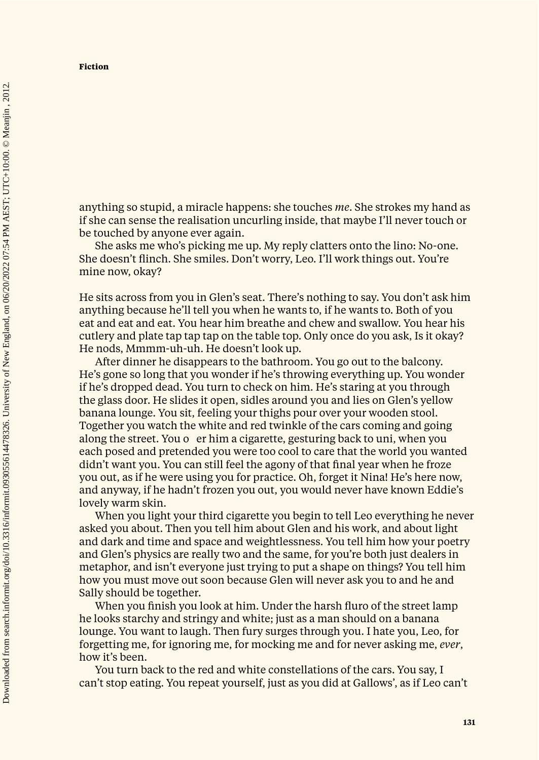**Fiction**

anything so stupid, a miracle happens: she touches *me*. She strokes my hand as if she can sense the realisation uncurling inside, that maybe I'll never touch or be touched by anyone ever again.

She asks me who's picking me up. My reply clatters onto the lino: No-one. She doesn't flinch. She smiles. Don't worry, Leo. I'll work things out. You're mine now, okay?

He sits across from you in Glen's seat. There's nothing to say. You don't ask him anything because he'll tell you when he wants to, if he wants to. Both of you eat and eat and eat. You hear him breathe and chew and swallow. You hear his cutlery and plate tap tap tap on the table top. Only once do you ask, Is it okay? He nods, Mmmm-uh-uh. He doesn't look up.

After dinner he disappears to the bathroom. You go out to the balcony. He's gone so long that you wonder if he's throwing everything up. You wonder if he's dropped dead. You turn to check on him. He's staring at you through the glass door. He slides it open, sidles around you and lies on Glen's yellow banana lounge. You sit, feeling your thighs pour over your wooden stool. Together you watch the white and red twinkle of the cars coming and going along the street. You o er him a cigarette, gesturing back to uni, when you each posed and pretended you were too cool to care that the world you wanted didn't want you. You can still feel the agony of that final year when he froze you out, as if he were using you for practice. Oh, forget it Nina! He's here now, and anyway, if he hadn't frozen you out, you would never have known Eddie's lovely warm skin.

When you light your third cigarette you begin to tell Leo everything he never asked you about. Then you tell him about Glen and his work, and about light and dark and time and space and weightlessness. You tell him how your poetry and Glen's physics are really two and the same, for you're both just dealers in metaphor, and isn't everyone just trying to put a shape on things? You tell him how you must move out soon because Glen will never ask you to and he and Sally should be together.

When you finish you look at him. Under the harsh fluro of the street lamp he looks starchy and stringy and white; just as a man should on a banana lounge. You want to laugh. Then fury surges through you. I hate you, Leo, for forgetting me, for ignoring me, for mocking me and for never asking me, *ever*, how it's been.

You turn back to the red and white constellations of the cars. You say, I can't stop eating. You repeat yourself, just as you did at Gallows', as if Leo can't